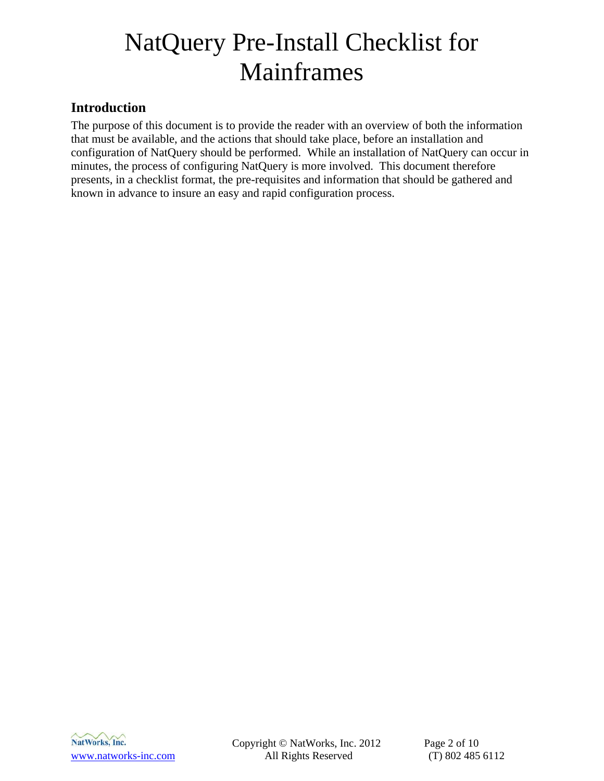### <span id="page-1-0"></span>**Introduction**

The purpose of this document is to provide the reader with an overview of both the information that must be available, and the actions that should take place, before an installation and configuration of NatQuery should be performed. While an installation of NatQuery can occur in minutes, the process of configuring NatQuery is more involved. This document therefore presents, in a checklist format, the pre-requisites and information that should be gathered and known in advance to insure an easy and rapid configuration process.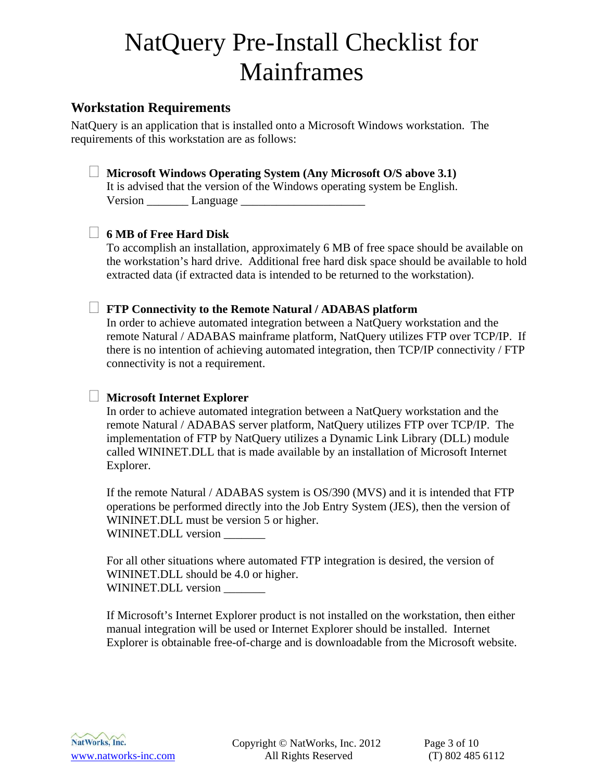### <span id="page-2-0"></span>**Workstation Requirements**

NatQuery is an application that is installed onto a Microsoft Windows workstation. The requirements of this workstation are as follows:

### **Microsoft Windows Operating System (Any Microsoft O/S above 3.1)**

It is advised that the version of the Windows operating system be English. Version \_\_\_\_\_\_\_ Language \_\_\_\_\_\_\_\_\_\_\_\_\_\_\_\_\_\_\_\_\_

### **6 MB of Free Hard Disk**

To accomplish an installation, approximately 6 MB of free space should be available on the workstation's hard drive. Additional free hard disk space should be available to hold extracted data (if extracted data is intended to be returned to the workstation).

### **FTP Connectivity to the Remote Natural / ADABAS platform**

In order to achieve automated integration between a NatQuery workstation and the remote Natural / ADABAS mainframe platform, NatQuery utilizes FTP over TCP/IP. If there is no intention of achieving automated integration, then TCP/IP connectivity / FTP connectivity is not a requirement.

### **Microsoft Internet Explorer**

In order to achieve automated integration between a NatQuery workstation and the remote Natural / ADABAS server platform, NatQuery utilizes FTP over TCP/IP. The implementation of FTP by NatQuery utilizes a Dynamic Link Library (DLL) module called WININET.DLL that is made available by an installation of Microsoft Internet Explorer.

If the remote Natural / ADABAS system is OS/390 (MVS) and it is intended that FTP operations be performed directly into the Job Entry System (JES), then the version of WININET.DLL must be version 5 or higher. WININET.DLL version

For all other situations where automated FTP integration is desired, the version of WININET.DLL should be 4.0 or higher. WININET.DLL version

If Microsoft's Internet Explorer product is not installed on the workstation, then either manual integration will be used or Internet Explorer should be installed. Internet Explorer is obtainable free-of-charge and is downloadable from the Microsoft website.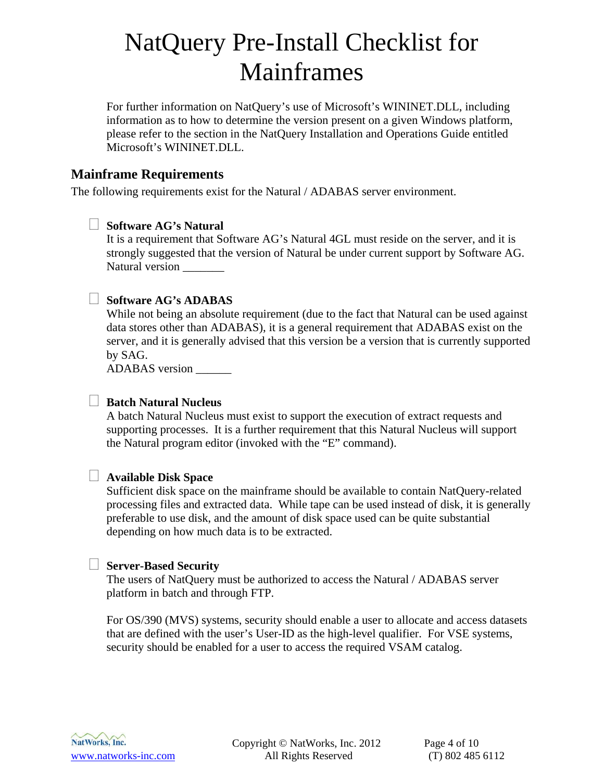<span id="page-3-0"></span>For further information on NatQuery's use of Microsoft's WININET.DLL, including information as to how to determine the version present on a given Windows platform, please refer to the section in the NatQuery Installation and Operations Guide entitled Microsoft's WININET.DLL.

### **Mainframe Requirements**

The following requirements exist for the Natural / ADABAS server environment.

### **Software AG's Natural**

It is a requirement that Software AG's Natural 4GL must reside on the server, and it is strongly suggested that the version of Natural be under current support by Software AG. Natural version

### **Software AG's ADABAS**

While not being an absolute requirement (due to the fact that Natural can be used against data stores other than ADABAS), it is a general requirement that ADABAS exist on the server, and it is generally advised that this version be a version that is currently supported by SAG.

ADABAS version \_\_\_\_\_\_

### **Batch Natural Nucleus**

A batch Natural Nucleus must exist to support the execution of extract requests and supporting processes. It is a further requirement that this Natural Nucleus will support the Natural program editor (invoked with the "E" command).

### **Available Disk Space**

Sufficient disk space on the mainframe should be available to contain NatQuery-related processing files and extracted data. While tape can be used instead of disk, it is generally preferable to use disk, and the amount of disk space used can be quite substantial depending on how much data is to be extracted.

### **Server-Based Security**

The users of NatQuery must be authorized to access the Natural / ADABAS server platform in batch and through FTP.

For OS/390 (MVS) systems, security should enable a user to allocate and access datasets that are defined with the user's User-ID as the high-level qualifier. For VSE systems, security should be enabled for a user to access the required VSAM catalog.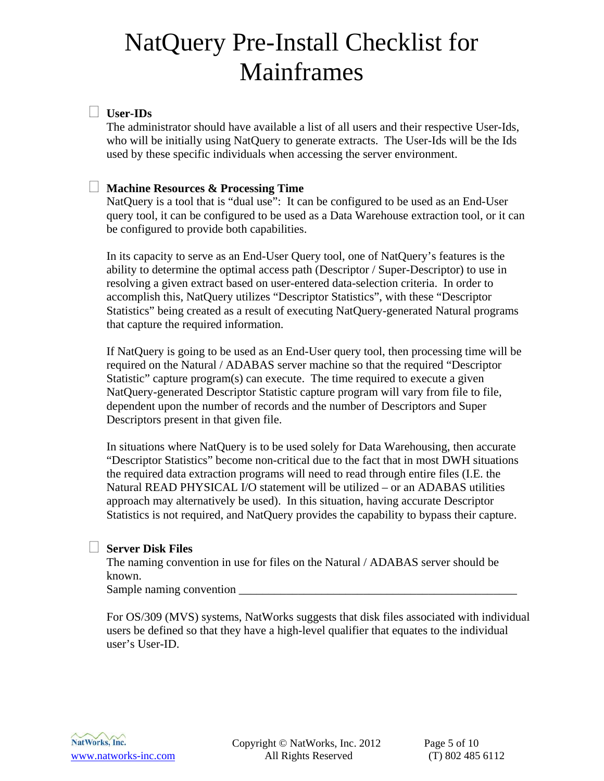### **User-IDs**

The administrator should have available a list of all users and their respective User-Ids, who will be initially using NatQuery to generate extracts. The User-Ids will be the Ids used by these specific individuals when accessing the server environment.

#### **Machine Resources & Processing Time**

NatQuery is a tool that is "dual use": It can be configured to be used as an End-User query tool, it can be configured to be used as a Data Warehouse extraction tool, or it can be configured to provide both capabilities.

In its capacity to serve as an End-User Query tool, one of NatQuery's features is the ability to determine the optimal access path (Descriptor / Super-Descriptor) to use in resolving a given extract based on user-entered data-selection criteria. In order to accomplish this, NatQuery utilizes "Descriptor Statistics", with these "Descriptor Statistics" being created as a result of executing NatQuery-generated Natural programs that capture the required information.

If NatQuery is going to be used as an End-User query tool, then processing time will be required on the Natural / ADABAS server machine so that the required "Descriptor Statistic" capture program(s) can execute. The time required to execute a given NatQuery-generated Descriptor Statistic capture program will vary from file to file, dependent upon the number of records and the number of Descriptors and Super Descriptors present in that given file.

In situations where NatQuery is to be used solely for Data Warehousing, then accurate "Descriptor Statistics" become non-critical due to the fact that in most DWH situations the required data extraction programs will need to read through entire files (I.E. the Natural READ PHYSICAL I/O statement will be utilized – or an ADABAS utilities approach may alternatively be used). In this situation, having accurate Descriptor Statistics is not required, and NatQuery provides the capability to bypass their capture.

#### **Server Disk Files**

The naming convention in use for files on the Natural / ADABAS server should be known.

Sample naming convention

For OS/309 (MVS) systems, NatWorks suggests that disk files associated with individual users be defined so that they have a high-level qualifier that equates to the individual user's User-ID.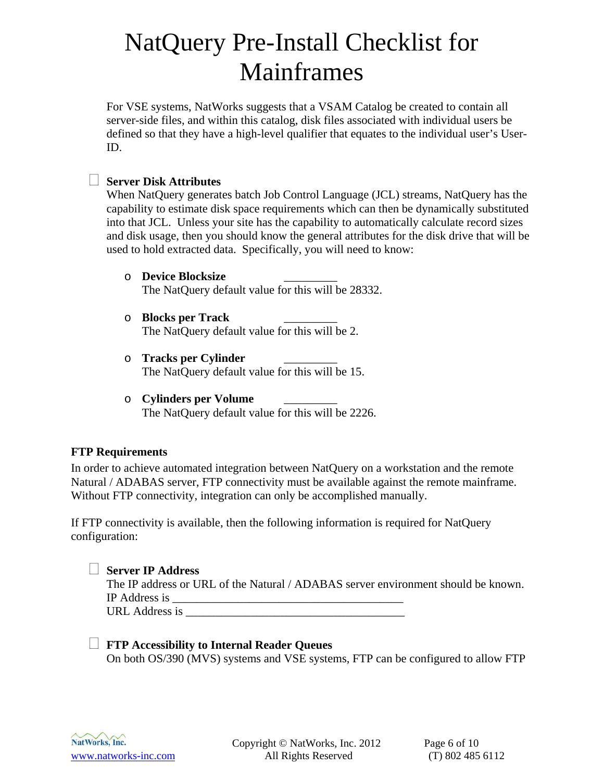<span id="page-5-0"></span>For VSE systems, NatWorks suggests that a VSAM Catalog be created to contain all server-side files, and within this catalog, disk files associated with individual users be defined so that they have a high-level qualifier that equates to the individual user's User-ID.

### **Server Disk Attributes**

When NatQuery generates batch Job Control Language (JCL) streams, NatQuery has the capability to estimate disk space requirements which can then be dynamically substituted into that JCL. Unless your site has the capability to automatically calculate record sizes and disk usage, then you should know the general attributes for the disk drive that will be used to hold extracted data. Specifically, you will need to know:

- o **Device Blocksize** \_\_\_\_\_\_\_\_\_ The NatQuery default value for this will be 28332.
- o **Blocks per Track** \_\_\_\_\_\_\_\_\_ The NatQuery default value for this will be 2.
- o **Tracks per Cylinder** \_\_\_\_\_\_\_\_\_ The NatQuery default value for this will be 15.
- o **Cylinders per Volume** \_\_\_\_\_\_\_\_\_ The NatQuery default value for this will be 2226.

### **FTP Requirements**

In order to achieve automated integration between NatQuery on a workstation and the remote Natural / ADABAS server, FTP connectivity must be available against the remote mainframe. Without FTP connectivity, integration can only be accomplished manually.

If FTP connectivity is available, then the following information is required for NatQuery configuration:

| $\Box$ Server IP Address                                                          |
|-----------------------------------------------------------------------------------|
| The IP address or URL of the Natural / ADABAS server environment should be known. |
| IP Address is                                                                     |
| URL Address is                                                                    |

### **FTP Accessibility to Internal Reader Queues**

On both OS/390 (MVS) systems and VSE systems, FTP can be configured to allow FTP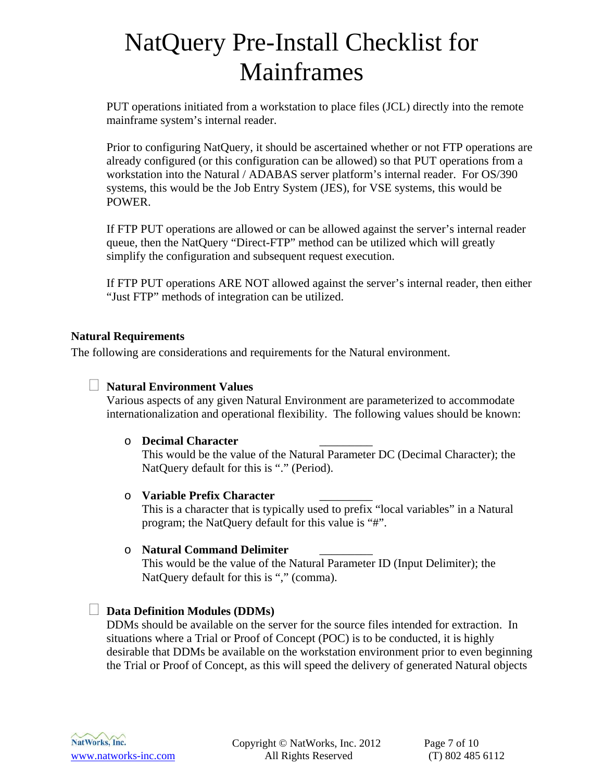<span id="page-6-0"></span>PUT operations initiated from a workstation to place files (JCL) directly into the remote mainframe system's internal reader.

Prior to configuring NatQuery, it should be ascertained whether or not FTP operations are already configured (or this configuration can be allowed) so that PUT operations from a workstation into the Natural / ADABAS server platform's internal reader. For OS/390 systems, this would be the Job Entry System (JES), for VSE systems, this would be POWER.

If FTP PUT operations are allowed or can be allowed against the server's internal reader queue, then the NatQuery "Direct-FTP" method can be utilized which will greatly simplify the configuration and subsequent request execution.

If FTP PUT operations ARE NOT allowed against the server's internal reader, then either "Just FTP" methods of integration can be utilized.

### **Natural Requirements**

The following are considerations and requirements for the Natural environment.

### **Natural Environment Values**

Various aspects of any given Natural Environment are parameterized to accommodate internationalization and operational flexibility. The following values should be known:

#### o **Decimal Character** \_\_\_\_\_\_\_\_\_

This would be the value of the Natural Parameter DC (Decimal Character); the NatQuery default for this is "." (Period).

### o **Variable Prefix Character** \_\_\_\_\_\_\_\_\_

This is a character that is typically used to prefix "local variables" in a Natural program; the NatQuery default for this value is "#".

### o **Natural Command Delimiter** \_\_\_\_\_\_\_\_\_

This would be the value of the Natural Parameter ID (Input Delimiter); the NatQuery default for this is "," (comma).

### **Data Definition Modules (DDMs)**

DDMs should be available on the server for the source files intended for extraction. In situations where a Trial or Proof of Concept (POC) is to be conducted, it is highly desirable that DDMs be available on the workstation environment prior to even beginning the Trial or Proof of Concept, as this will speed the delivery of generated Natural objects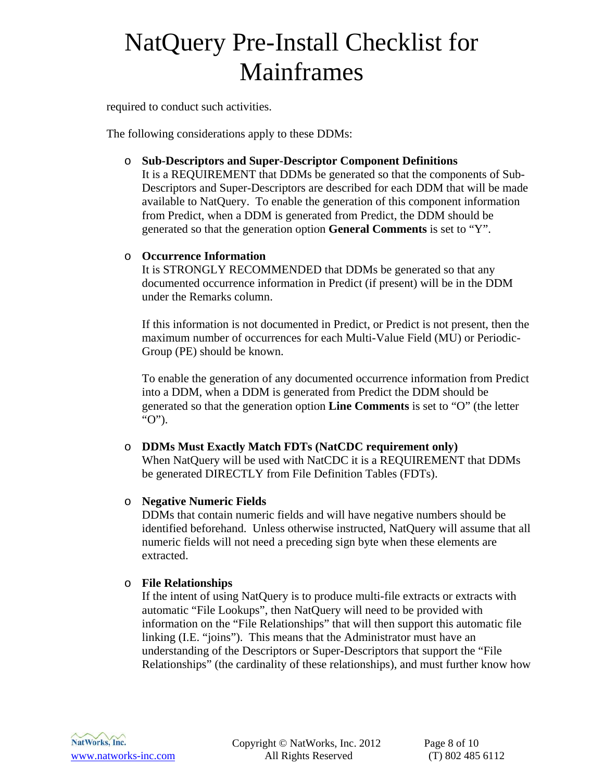required to conduct such activities.

The following considerations apply to these DDMs:

o **Sub-Descriptors and Super-Descriptor Component Definitions**

It is a REQUIREMENT that DDMs be generated so that the components of Sub-Descriptors and Super-Descriptors are described for each DDM that will be made available to NatQuery. To enable the generation of this component information from Predict, when a DDM is generated from Predict, the DDM should be generated so that the generation option **General Comments** is set to "Y".

### o **Occurrence Information**

It is STRONGLY RECOMMENDED that DDMs be generated so that any documented occurrence information in Predict (if present) will be in the DDM under the Remarks column.

If this information is not documented in Predict, or Predict is not present, then the maximum number of occurrences for each Multi-Value Field (MU) or Periodic-Group (PE) should be known.

To enable the generation of any documented occurrence information from Predict into a DDM, when a DDM is generated from Predict the DDM should be generated so that the generation option **Line Comments** is set to "O" (the letter "O").

### o **DDMs Must Exactly Match FDTs (NatCDC requirement only)**

When NatQuery will be used with NatCDC it is a REQUIREMENT that DDMs be generated DIRECTLY from File Definition Tables (FDTs).

### o **Negative Numeric Fields**

DDMs that contain numeric fields and will have negative numbers should be identified beforehand. Unless otherwise instructed, NatQuery will assume that all numeric fields will not need a preceding sign byte when these elements are extracted.

### o **File Relationships**

If the intent of using NatQuery is to produce multi-file extracts or extracts with automatic "File Lookups", then NatQuery will need to be provided with information on the "File Relationships" that will then support this automatic file linking (I.E. "joins"). This means that the Administrator must have an understanding of the Descriptors or Super-Descriptors that support the "File Relationships" (the cardinality of these relationships), and must further know how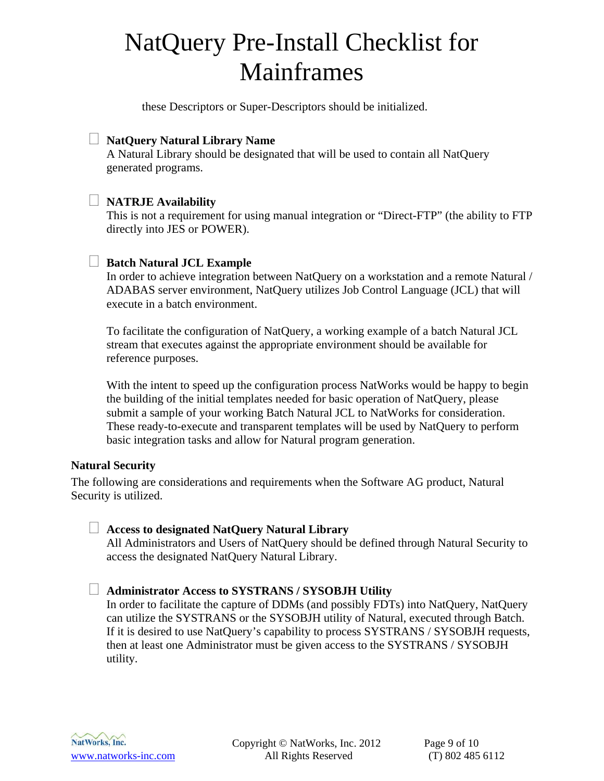these Descriptors or Super-Descriptors should be initialized.

### <span id="page-8-0"></span>**NatQuery Natural Library Name**

A Natural Library should be designated that will be used to contain all NatQuery generated programs.

### **NATRJE Availability**

This is not a requirement for using manual integration or "Direct-FTP" (the ability to FTP directly into JES or POWER).

#### **Batch Natural JCL Example**

In order to achieve integration between NatQuery on a workstation and a remote Natural / ADABAS server environment, NatQuery utilizes Job Control Language (JCL) that will execute in a batch environment.

To facilitate the configuration of NatQuery, a working example of a batch Natural JCL stream that executes against the appropriate environment should be available for reference purposes.

With the intent to speed up the configuration process NatWorks would be happy to begin the building of the initial templates needed for basic operation of NatQuery, please submit a sample of your working Batch Natural JCL to NatWorks for consideration. These ready-to-execute and transparent templates will be used by NatQuery to perform basic integration tasks and allow for Natural program generation.

#### **Natural Security**

The following are considerations and requirements when the Software AG product, Natural Security is utilized.

#### **Access to designated NatQuery Natural Library**

All Administrators and Users of NatQuery should be defined through Natural Security to access the designated NatQuery Natural Library.

### **Administrator Access to SYSTRANS / SYSOBJH Utility**

In order to facilitate the capture of DDMs (and possibly FDTs) into NatQuery, NatQuery can utilize the SYSTRANS or the SYSOBJH utility of Natural, executed through Batch. If it is desired to use NatQuery's capability to process SYSTRANS / SYSOBJH requests, then at least one Administrator must be given access to the SYSTRANS / SYSOBJH utility.